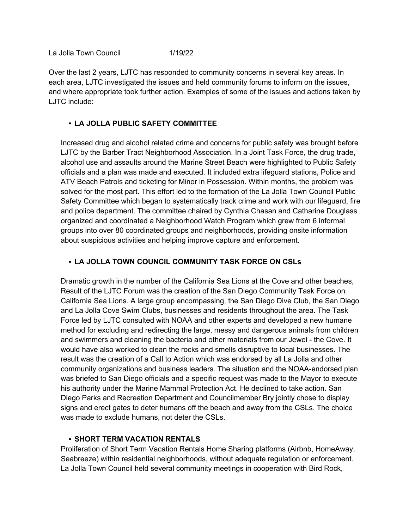Over the last 2 years, LJTC has responded to community concerns in several key areas. In each area, LJTC investigated the issues and held community forums to inform on the issues, and where appropriate took further action. Examples of some of the issues and actions taken by LJTC include:

## • **LA JOLLA PUBLIC SAFETY COMMITTEE**

Increased drug and alcohol related crime and concerns for public safety was brought before LJTC by the Barber Tract Neighborhood Association. In a Joint Task Force, the drug trade, alcohol use and assaults around the Marine Street Beach were highlighted to Public Safety officials and a plan was made and executed. It included extra lifeguard stations, Police and ATV Beach Patrols and ticketing for Minor in Possession. Within months, the problem was solved for the most part. This effort led to the formation of the La Jolla Town Council Public Safety Committee which began to systematically track crime and work with our lifeguard, fire and police department. The committee chaired by Cynthia Chasan and Catharine Douglass organized and coordinated a Neighborhood Watch Program which grew from 6 informal groups into over 80 coordinated groups and neighborhoods, providing onsite information about suspicious activities and helping improve capture and enforcement.

## • **LA JOLLA TOWN COUNCIL COMMUNITY TASK FORCE ON CSLs**

Dramatic growth in the number of the California Sea Lions at the Cove and other beaches, Result of the LJTC Forum was the creation of the San Diego Community Task Force on California Sea Lions. A large group encompassing, the San Diego Dive Club, the San Diego and La Jolla Cove Swim Clubs, businesses and residents throughout the area. The Task Force led by LJTC consulted with NOAA and other experts and developed a new humane method for excluding and redirecting the large, messy and dangerous animals from children and swimmers and cleaning the bacteria and other materials from our Jewel - the Cove. It would have also worked to clean the rocks and smells disruptive to local businesses. The result was the creation of a Call to Action which was endorsed by all La Jolla and other community organizations and business leaders. The situation and the NOAA-endorsed plan was briefed to San Diego officials and a specific request was made to the Mayor to execute his authority under the Marine Mammal Protection Act. He declined to take action. San Diego Parks and Recreation Department and Councilmember Bry jointly chose to display signs and erect gates to deter humans off the beach and away from the CSLs. The choice was made to exclude humans, not deter the CSLs.

## • **SHORT TERM VACATION RENTALS**

Proliferation of Short Term Vacation Rentals Home Sharing platforms (Airbnb, HomeAway, Seabreeze) within residential neighborhoods, without adequate regulation or enforcement. La Jolla Town Council held several community meetings in cooperation with Bird Rock,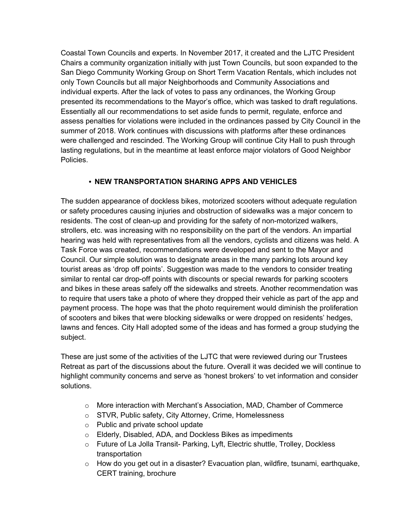Coastal Town Councils and experts. In November 2017, it created and the LJTC President Chairs a community organization initially with just Town Councils, but soon expanded to the San Diego Community Working Group on Short Term Vacation Rentals, which includes not only Town Councils but all major Neighborhoods and Community Associations and individual experts. After the lack of votes to pass any ordinances, the Working Group presented its recommendations to the Mayor's office, which was tasked to draft regulations. Essentially all our recommendations to set aside funds to permit, regulate, enforce and assess penalties for violations were included in the ordinances passed by City Council in the summer of 2018. Work continues with discussions with platforms after these ordinances were challenged and rescinded. The Working Group will continue City Hall to push through lasting regulations, but in the meantime at least enforce major violators of Good Neighbor Policies.

## • **NEW TRANSPORTATION SHARING APPS AND VEHICLES**

The sudden appearance of dockless bikes, motorized scooters without adequate regulation or safety procedures causing injuries and obstruction of sidewalks was a major concern to residents. The cost of clean-up and providing for the safety of non-motorized walkers, strollers, etc. was increasing with no responsibility on the part of the vendors. An impartial hearing was held with representatives from all the vendors, cyclists and citizens was held. A Task Force was created, recommendations were developed and sent to the Mayor and Council. Our simple solution was to designate areas in the many parking lots around key tourist areas as 'drop off points'. Suggestion was made to the vendors to consider treating similar to rental car drop-off points with discounts or special rewards for parking scooters and bikes in these areas safely off the sidewalks and streets. Another recommendation was to require that users take a photo of where they dropped their vehicle as part of the app and payment process. The hope was that the photo requirement would diminish the proliferation of scooters and bikes that were blocking sidewalks or were dropped on residents' hedges, lawns and fences. City Hall adopted some of the ideas and has formed a group studying the subject.

These are just some of the activities of the LJTC that were reviewed during our Trustees Retreat as part of the discussions about the future. Overall it was decided we will continue to highlight community concerns and serve as 'honest brokers' to vet information and consider solutions.

- o More interaction with Merchant's Association, MAD, Chamber of Commerce
- o STVR, Public safety, City Attorney, Crime, Homelessness
- o Public and private school update
- o Elderly, Disabled, ADA, and Dockless Bikes as impediments
- o Future of La Jolla Transit- Parking, Lyft, Electric shuttle, Trolley, Dockless transportation
- $\circ$  How do you get out in a disaster? Evacuation plan, wildfire, tsunami, earthquake, CERT training, brochure